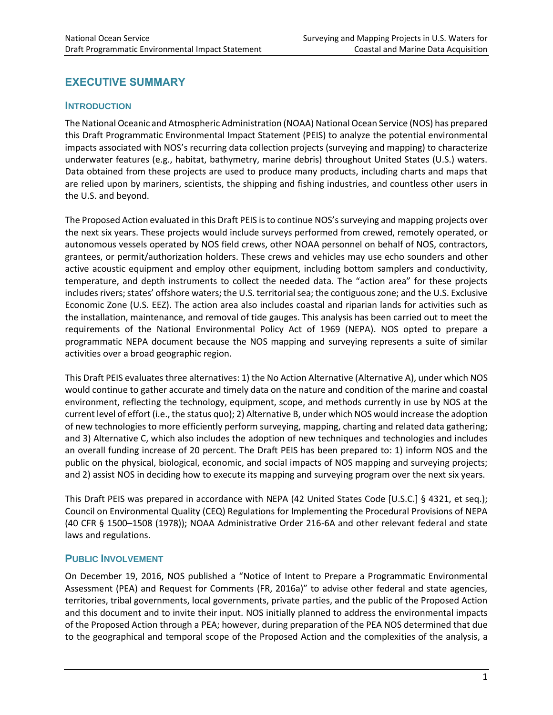# **EXECUTIVE SUMMARY**

#### **INTRODUCTION**

The National Oceanic and Atmospheric Administration (NOAA) National Ocean Service (NOS) has prepared this Draft Programmatic Environmental Impact Statement (PEIS) to analyze the potential environmental impacts associated with NOS's recurring data collection projects (surveying and mapping) to characterize underwater features (e.g., habitat, bathymetry, marine debris) throughout United States (U.S.) waters. Data obtained from these projects are used to produce many products, including charts and maps that are relied upon by mariners, scientists, the shipping and fishing industries, and countless other users in the U.S. and beyond.

The Proposed Action evaluated in this Draft PEIS is to continue NOS's surveying and mapping projects over the next six years. These projects would include surveys performed from crewed, remotely operated, or autonomous vessels operated by NOS field crews, other NOAA personnel on behalf of NOS, contractors, grantees, or permit/authorization holders. These crews and vehicles may use echo sounders and other active acoustic equipment and employ other equipment, including bottom samplers and conductivity, temperature, and depth instruments to collect the needed data. The "action area" for these projects includes rivers; states' offshore waters; the U.S. territorial sea; the contiguous zone; and the U.S. Exclusive Economic Zone (U.S. EEZ). The action area also includes coastal and riparian lands for activities such as the installation, maintenance, and removal of tide gauges. This analysis has been carried out to meet the requirements of the National Environmental Policy Act of 1969 (NEPA). NOS opted to prepare a programmatic NEPA document because the NOS mapping and surveying represents a suite of similar activities over a broad geographic region.

This Draft PEIS evaluates three alternatives: 1) the No Action Alternative (Alternative A), under which NOS would continue to gather accurate and timely data on the nature and condition of the marine and coastal environment, reflecting the technology, equipment, scope, and methods currently in use by NOS at the current level of effort (i.e., the status quo); 2) Alternative B, under which NOS would increase the adoption of new technologies to more efficiently perform surveying, mapping, charting and related data gathering; and 3) Alternative C, which also includes the adoption of new techniques and technologies and includes an overall funding increase of 20 percent. The Draft PEIS has been prepared to: 1) inform NOS and the public on the physical, biological, economic, and social impacts of NOS mapping and surveying projects; and 2) assist NOS in deciding how to execute its mapping and surveying program over the next six years.

This Draft PEIS was prepared in accordance with NEPA (42 United States Code [U.S.C.] § 4321, et seq.); Council on Environmental Quality (CEQ) Regulations for Implementing the Procedural Provisions of NEPA (40 CFR § 1500–1508 (1978)); NOAA Administrative Order 216-6A and other relevant federal and state laws and regulations.

### **PUBLIC INVOLVEMENT**

On December 19, 2016, NOS published a "Notice of Intent to Prepare a Programmatic Environmental Assessment (PEA) and Request for Comments (FR, 2016a)" to advise other federal and state agencies, territories, tribal governments, local governments, private parties, and the public of the Proposed Action and this document and to invite their input. NOS initially planned to address the environmental impacts of the Proposed Action through a PEA; however, during preparation of the PEA NOS determined that due to the geographical and temporal scope of the Proposed Action and the complexities of the analysis, a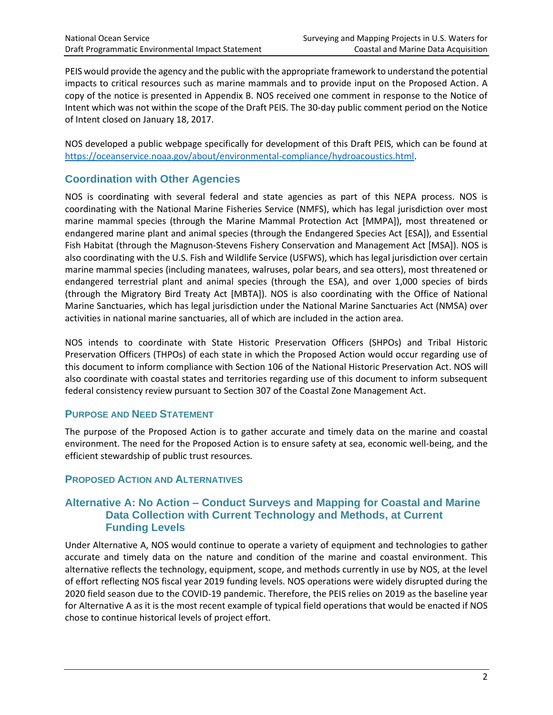PEIS would provide the agency and the public with the appropriate framework to understand the potential impacts to critical resources such as marine mammals and to provide input on the Proposed Action. A copy of the notice is presented in Appendix B. NOS received one comment in response to the Notice of Intent which was not within the scope of the Draft PEIS. The 30-day public comment period on the Notice of Intent closed on January 18, 2017.

NOS developed a public webpage specifically for development of this Draft PEIS, which can be found at [https://oceanservice.noaa.gov/about/environmental-compliance/hydroacoustics.html.](https://oceanservice.noaa.gov/about/environmental-compliance/hydroacoustics.html)

## **Coordination with Other Agencies**

NOS is coordinating with several federal and state agencies as part of this NEPA process. NOS is coordinating with the National Marine Fisheries Service (NMFS), which has legal jurisdiction over most marine mammal species (through the Marine Mammal Protection Act [MMPA]), most threatened or endangered marine plant and animal species (through the Endangered Species Act [ESA]), and Essential Fish Habitat (through the Magnuson-Stevens Fishery Conservation and Management Act [MSA]). NOS is also coordinating with the U.S. Fish and Wildlife Service (USFWS), which has legal jurisdiction over certain marine mammal species (including manatees, walruses, polar bears, and sea otters), most threatened or endangered terrestrial plant and animal species (through the ESA), and over 1,000 species of birds (through the Migratory Bird Treaty Act [MBTA]). NOS is also coordinating with the Office of National Marine Sanctuaries, which has legal jurisdiction under the National Marine Sanctuaries Act (NMSA) over activities in national marine sanctuaries, all of which are included in the action area.

NOS intends to coordinate with State Historic Preservation Officers (SHPOs) and Tribal Historic Preservation Officers (THPOs) of each state in which the Proposed Action would occur regarding use of this document to inform compliance with Section 106 of the National Historic Preservation Act. NOS will also coordinate with coastal states and territories regarding use of this document to inform subsequent federal consistency review pursuant to Section 307 of the Coastal Zone Management Act.

### **PURPOSE AND NEED STATEMENT**

The purpose of the Proposed Action is to gather accurate and timely data on the marine and coastal environment. The need for the Proposed Action is to ensure safety at sea, economic well-being, and the efficient stewardship of public trust resources.

### **PROPOSED ACTION AND ALTERNATIVES**

### **Alternative A: No Action – Conduct Surveys and Mapping for Coastal and Marine Data Collection with Current Technology and Methods, at Current Funding Levels**

Under Alternative A, NOS would continue to operate a variety of equipment and technologies to gather accurate and timely data on the nature and condition of the marine and coastal environment. This alternative reflects the technology, equipment, scope, and methods currently in use by NOS, at the level of effort reflecting NOS fiscal year 2019 funding levels. NOS operations were widely disrupted during the 2020 field season due to the COVID-19 pandemic. Therefore, the PEIS relies on 2019 as the baseline year for Alternative A as it is the most recent example of typical field operations that would be enacted if NOS chose to continue historical levels of project effort.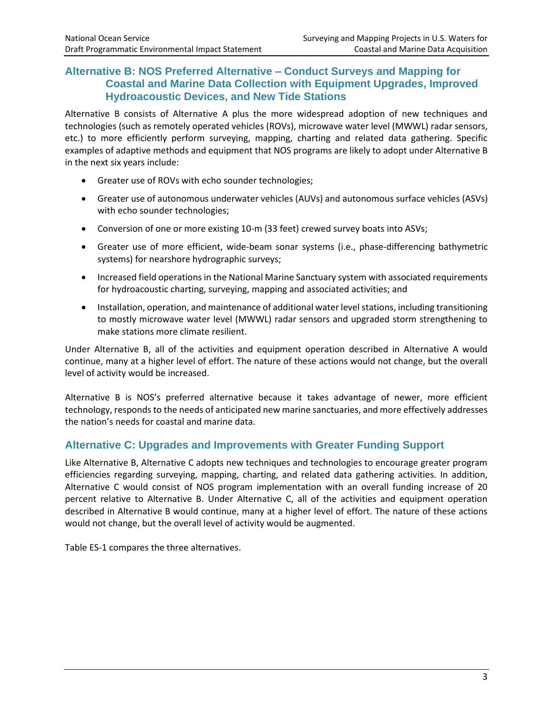## **Alternative B: NOS Preferred Alternative – Conduct Surveys and Mapping for Coastal and Marine Data Collection with Equipment Upgrades, Improved Hydroacoustic Devices, and New Tide Stations**

Alternative B consists of Alternative A plus the more widespread adoption of new techniques and technologies (such as remotely operated vehicles (ROVs), microwave water level (MWWL) radar sensors, etc.) to more efficiently perform surveying, mapping, charting and related data gathering. Specific examples of adaptive methods and equipment that NOS programs are likely to adopt under Alternative B in the next six years include:

- Greater use of ROVs with echo sounder technologies;
- Greater use of autonomous underwater vehicles (AUVs) and autonomous surface vehicles (ASVs) with echo sounder technologies;
- Conversion of one or more existing 10-m (33 feet) crewed survey boats into ASVs;
- Greater use of more efficient, wide-beam sonar systems (i.e., phase-differencing bathymetric systems) for nearshore hydrographic surveys;
- Increased field operations in the National Marine Sanctuary system with associated requirements for hydroacoustic charting, surveying, mapping and associated activities; and
- Installation, operation, and maintenance of additional water level stations, including transitioning to mostly microwave water level (MWWL) radar sensors and upgraded storm strengthening to make stations more climate resilient.

Under Alternative B, all of the activities and equipment operation described in Alternative A would continue, many at a higher level of effort. The nature of these actions would not change, but the overall level of activity would be increased.

Alternative B is NOS's preferred alternative because it takes advantage of newer, more efficient technology, responds to the needs of anticipated new marine sanctuaries, and more effectively addresses the nation's needs for coastal and marine data.

### **Alternative C: Upgrades and Improvements with Greater Funding Support**

Like Alternative B, Alternative C adopts new techniques and technologies to encourage greater program efficiencies regarding surveying, mapping, charting, and related data gathering activities. In addition, Alternative C would consist of NOS program implementation with an overall funding increase of 20 percent relative to Alternative B. Under Alternative C, all of the activities and equipment operation described in Alternative B would continue, many at a higher level of effort. The nature of these actions would not change, but the overall level of activity would be augmented.

Table ES-1 compares the three alternatives.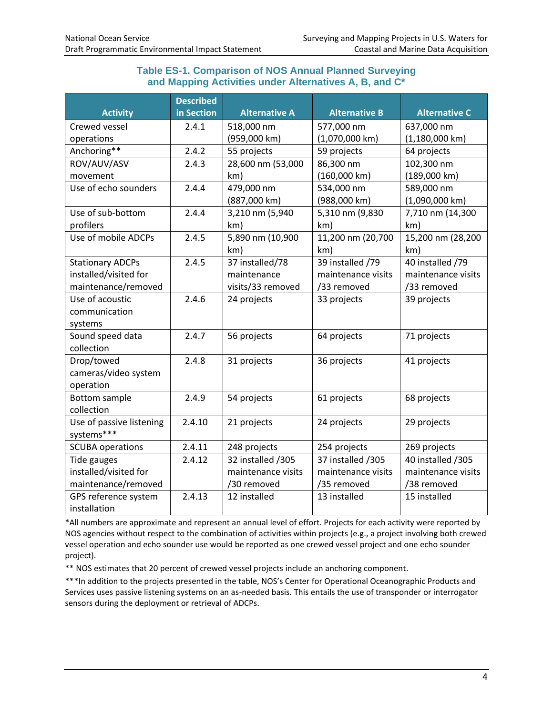### **Table ES-1. Comparison of NOS Annual Planned Surveying and Mapping Activities under Alternatives A, B, and C\***

|                          | <b>Described</b> |                      |                      |                          |
|--------------------------|------------------|----------------------|----------------------|--------------------------|
| <b>Activity</b>          | in Section       | <b>Alternative A</b> | <b>Alternative B</b> | <b>Alternative C</b>     |
| Crewed vessel            | 2.4.1            | 518,000 nm           | 577,000 nm           | 637,000 nm               |
| operations               |                  | (959,000 km)         | $(1,070,000$ km)     | $(1,180,000 \text{ km})$ |
| Anchoring**              | 2.4.2            | 55 projects          | 59 projects          | 64 projects              |
| ROV/AUV/ASV              | 2.4.3            | 28,600 nm (53,000    | 86,300 nm            | 102,300 nm               |
| movement                 |                  | km)                  | (160,000 km)         | (189,000 km)             |
| Use of echo sounders     | 2.4.4            | 479,000 nm           | 534,000 nm           | 589,000 nm               |
|                          |                  | (887,000 km)         | (988,000 km)         | $(1,090,000 \text{ km})$ |
| Use of sub-bottom        | 2.4.4            | 3,210 nm (5,940      | 5,310 nm (9,830      | 7,710 nm (14,300         |
| profilers                |                  | km)                  | km)                  | km)                      |
| Use of mobile ADCPs      | 2.4.5            | 5,890 nm (10,900     | 11,200 nm (20,700    | 15,200 nm (28,200        |
|                          |                  | km)                  | km)                  | km)                      |
| <b>Stationary ADCPs</b>  | 2.4.5            | 37 installed/78      | 39 installed /79     | 40 installed /79         |
| installed/visited for    |                  | maintenance          | maintenance visits   | maintenance visits       |
| maintenance/removed      |                  | visits/33 removed    | /33 removed          | /33 removed              |
| Use of acoustic          | 2.4.6            | 24 projects          | 33 projects          | 39 projects              |
| communication            |                  |                      |                      |                          |
| systems                  |                  |                      |                      |                          |
| Sound speed data         | 2.4.7            | 56 projects          | 64 projects          | 71 projects              |
| collection               |                  |                      |                      |                          |
| Drop/towed               | 2.4.8            | 31 projects          | 36 projects          | 41 projects              |
| cameras/video system     |                  |                      |                      |                          |
| operation                |                  |                      |                      |                          |
| <b>Bottom sample</b>     | 2.4.9            | 54 projects          | 61 projects          | 68 projects              |
| collection               |                  |                      |                      |                          |
| Use of passive listening | 2.4.10           | 21 projects          | 24 projects          | 29 projects              |
| systems***               |                  |                      |                      |                          |
| <b>SCUBA operations</b>  | 2.4.11           | 248 projects         | 254 projects         | 269 projects             |
| Tide gauges              | 2.4.12           | 32 installed /305    | 37 installed /305    | 40 installed /305        |
| installed/visited for    |                  | maintenance visits   | maintenance visits   | maintenance visits       |
| maintenance/removed      |                  | /30 removed          | /35 removed          | /38 removed              |
| GPS reference system     | 2.4.13           | 12 installed         | 13 installed         | 15 installed             |
| installation             |                  |                      |                      |                          |

\*All numbers are approximate and represent an annual level of effort. Projects for each activity were reported by NOS agencies without respect to the combination of activities within projects (e.g., a project involving both crewed vessel operation and echo sounder use would be reported as one crewed vessel project and one echo sounder project).

\*\* NOS estimates that 20 percent of crewed vessel projects include an anchoring component.

\*\*\*In addition to the projects presented in the table, NOS's Center for Operational Oceanographic Products and Services uses passive listening systems on an as-needed basis. This entails the use of transponder or interrogator sensors during the deployment or retrieval of ADCPs.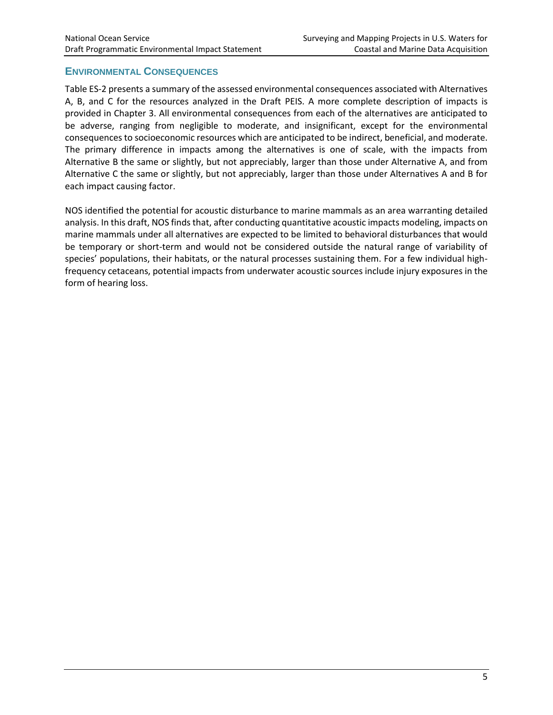### **ENVIRONMENTAL CONSEQUENCES**

Table ES-2 presents a summary of the assessed environmental consequences associated with Alternatives A, B, and C for the resources analyzed in the Draft PEIS. A more complete description of impacts is provided in Chapter 3. All environmental consequences from each of the alternatives are anticipated to be adverse, ranging from negligible to moderate, and insignificant, except for the environmental consequences to socioeconomic resources which are anticipated to be indirect, beneficial, and moderate. The primary difference in impacts among the alternatives is one of scale, with the impacts from Alternative B the same or slightly, but not appreciably, larger than those under Alternative A, and from Alternative C the same or slightly, but not appreciably, larger than those under Alternatives A and B for each impact causing factor.

NOS identified the potential for acoustic disturbance to marine mammals as an area warranting detailed analysis. In this draft, NOS finds that, after conducting quantitative acoustic impacts modeling, impacts on marine mammals under all alternatives are expected to be limited to behavioral disturbances that would be temporary or short-term and would not be considered outside the natural range of variability of species' populations, their habitats, or the natural processes sustaining them. For a few individual highfrequency cetaceans, potential impacts from underwater acoustic sources include injury exposures in the form of hearing loss.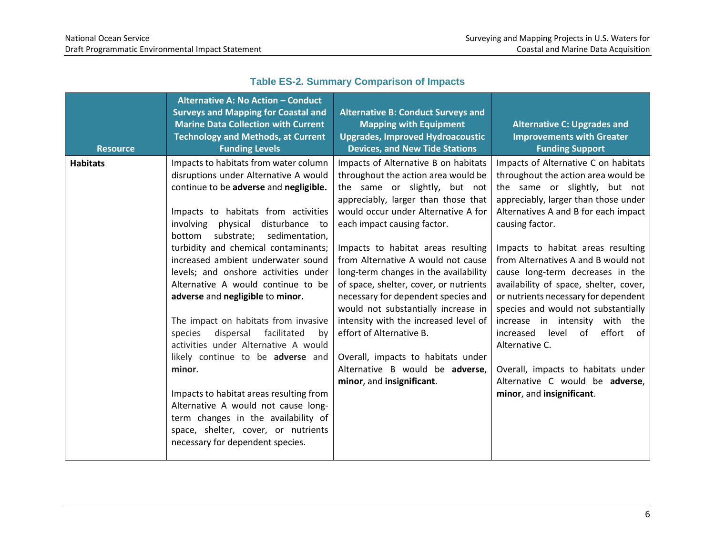| <b>Resource</b> | <b>Alternative A: No Action - Conduct</b><br><b>Surveys and Mapping for Coastal and</b><br><b>Marine Data Collection with Current</b><br><b>Technology and Methods, at Current</b><br><b>Funding Levels</b>                                                                                                                                                                                                                                                                                                                                                                                                                                                                                                                                                                                                              | <b>Alternative B: Conduct Surveys and</b><br><b>Mapping with Equipment</b><br><b>Upgrades, Improved Hydroacoustic</b><br><b>Devices, and New Tide Stations</b>                                                                                                                                                                                                                                                                                                                                                                                                                                                                                    | <b>Alternative C: Upgrades and</b><br><b>Improvements with Greater</b><br><b>Funding Support</b>                                                                                                                                                                                                                                                                                                                                                                                                                                                                                                                                                                   |
|-----------------|--------------------------------------------------------------------------------------------------------------------------------------------------------------------------------------------------------------------------------------------------------------------------------------------------------------------------------------------------------------------------------------------------------------------------------------------------------------------------------------------------------------------------------------------------------------------------------------------------------------------------------------------------------------------------------------------------------------------------------------------------------------------------------------------------------------------------|---------------------------------------------------------------------------------------------------------------------------------------------------------------------------------------------------------------------------------------------------------------------------------------------------------------------------------------------------------------------------------------------------------------------------------------------------------------------------------------------------------------------------------------------------------------------------------------------------------------------------------------------------|--------------------------------------------------------------------------------------------------------------------------------------------------------------------------------------------------------------------------------------------------------------------------------------------------------------------------------------------------------------------------------------------------------------------------------------------------------------------------------------------------------------------------------------------------------------------------------------------------------------------------------------------------------------------|
| <b>Habitats</b> | Impacts to habitats from water column<br>disruptions under Alternative A would<br>continue to be adverse and negligible.<br>Impacts to habitats from activities<br>involving physical disturbance to<br>bottom<br>substrate; sedimentation,<br>turbidity and chemical contaminants;<br>increased ambient underwater sound<br>levels; and onshore activities under<br>Alternative A would continue to be<br>adverse and negligible to minor.<br>The impact on habitats from invasive<br>dispersal facilitated<br>species<br>by<br>activities under Alternative A would<br>likely continue to be adverse and<br>minor.<br>Impacts to habitat areas resulting from<br>Alternative A would not cause long-<br>term changes in the availability of<br>space, shelter, cover, or nutrients<br>necessary for dependent species. | Impacts of Alternative B on habitats<br>throughout the action area would be<br>the same or slightly, but not<br>appreciably, larger than those that<br>would occur under Alternative A for<br>each impact causing factor.<br>Impacts to habitat areas resulting<br>from Alternative A would not cause<br>long-term changes in the availability<br>of space, shelter, cover, or nutrients<br>necessary for dependent species and<br>would not substantially increase in<br>intensity with the increased level of<br>effort of Alternative B.<br>Overall, impacts to habitats under<br>Alternative B would be adverse,<br>minor, and insignificant. | Impacts of Alternative C on habitats<br>throughout the action area would be<br>the same or slightly, but not<br>appreciably, larger than those under<br>Alternatives A and B for each impact<br>causing factor.<br>Impacts to habitat areas resulting<br>from Alternatives A and B would not<br>cause long-term decreases in the<br>availability of space, shelter, cover,<br>or nutrients necessary for dependent<br>species and would not substantially<br>increase in intensity with<br>the<br>of<br>effort<br>increased<br>level<br>of<br>Alternative C.<br>Overall, impacts to habitats under<br>Alternative C would be adverse,<br>minor, and insignificant. |

# **Table ES-2. Summary Comparison of Impacts**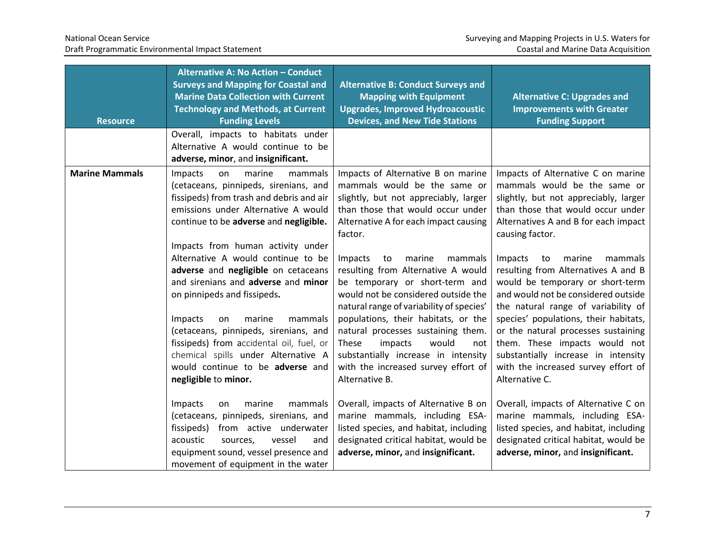| <b>Resource</b>       | Alternative A: No Action - Conduct<br><b>Surveys and Mapping for Coastal and</b><br><b>Marine Data Collection with Current</b><br><b>Technology and Methods, at Current</b><br><b>Funding Levels</b>                                          | <b>Alternative B: Conduct Surveys and</b><br><b>Mapping with Equipment</b><br><b>Upgrades, Improved Hydroacoustic</b><br><b>Devices, and New Tide Stations</b>                                                                       | <b>Alternative C: Upgrades and</b><br><b>Improvements with Greater</b><br><b>Funding Support</b>                                                                                                              |
|-----------------------|-----------------------------------------------------------------------------------------------------------------------------------------------------------------------------------------------------------------------------------------------|--------------------------------------------------------------------------------------------------------------------------------------------------------------------------------------------------------------------------------------|---------------------------------------------------------------------------------------------------------------------------------------------------------------------------------------------------------------|
|                       | Overall, impacts to habitats under<br>Alternative A would continue to be<br>adverse, minor, and insignificant.                                                                                                                                |                                                                                                                                                                                                                                      |                                                                                                                                                                                                               |
| <b>Marine Mammals</b> | marine<br>mammals<br>Impacts<br>on<br>(cetaceans, pinnipeds, sirenians, and<br>fissipeds) from trash and debris and air<br>emissions under Alternative A would<br>continue to be adverse and negligible.<br>Impacts from human activity under | Impacts of Alternative B on marine<br>mammals would be the same or<br>slightly, but not appreciably, larger<br>than those that would occur under<br>Alternative A for each impact causing<br>factor.                                 | Impacts of Alternative C on marine<br>mammals would be the same or<br>slightly, but not appreciably, larger<br>than those that would occur under<br>Alternatives A and B for each impact<br>causing factor.   |
|                       | Alternative A would continue to be<br>adverse and negligible on cetaceans<br>and sirenians and adverse and minor<br>on pinnipeds and fissipeds.<br>marine<br>mammals                                                                          | marine<br>mammals<br>Impacts<br>to<br>resulting from Alternative A would<br>be temporary or short-term and<br>would not be considered outside the<br>natural range of variability of species'<br>populations, their habitats, or the | Impacts<br>to<br>marine<br>mammals<br>resulting from Alternatives A and B<br>would be temporary or short-term<br>and would not be considered outside<br>the natural range of variability of                   |
|                       | Impacts<br>on<br>(cetaceans, pinnipeds, sirenians, and<br>fissipeds) from accidental oil, fuel, or<br>chemical spills under Alternative A<br>would continue to be adverse and<br>negligible to minor.                                         | natural processes sustaining them.<br>impacts<br>would<br>These<br>not<br>substantially increase in intensity<br>with the increased survey effort of<br>Alternative B.                                                               | species' populations, their habitats,<br>or the natural processes sustaining<br>them. These impacts would not<br>substantially increase in intensity<br>with the increased survey effort of<br>Alternative C. |
|                       | marine<br>mammals<br>Impacts<br>on<br>(cetaceans, pinnipeds, sirenians, and<br>fissipeds) from active underwater<br>acoustic<br>vessel<br>and<br>sources,<br>equipment sound, vessel presence and<br>movement of equipment in the water       | Overall, impacts of Alternative B on<br>marine mammals, including ESA-<br>listed species, and habitat, including<br>designated critical habitat, would be<br>adverse, minor, and insignificant.                                      | Overall, impacts of Alternative C on<br>marine mammals, including ESA-<br>listed species, and habitat, including<br>designated critical habitat, would be<br>adverse, minor, and insignificant.               |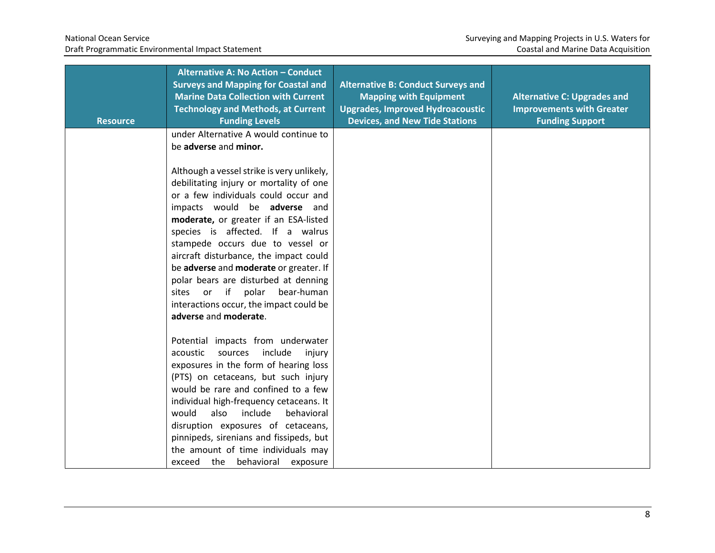| <b>Resource</b> | Alternative A: No Action - Conduct<br><b>Surveys and Mapping for Coastal and</b><br><b>Marine Data Collection with Current</b><br><b>Technology and Methods, at Current</b><br><b>Funding Levels</b>                                                                                                                                                                                                                                                                                                                       | <b>Alternative B: Conduct Surveys and</b><br><b>Mapping with Equipment</b><br><b>Upgrades, Improved Hydroacoustic</b><br><b>Devices, and New Tide Stations</b> | <b>Alternative C: Upgrades and</b><br><b>Improvements with Greater</b><br><b>Funding Support</b> |
|-----------------|----------------------------------------------------------------------------------------------------------------------------------------------------------------------------------------------------------------------------------------------------------------------------------------------------------------------------------------------------------------------------------------------------------------------------------------------------------------------------------------------------------------------------|----------------------------------------------------------------------------------------------------------------------------------------------------------------|--------------------------------------------------------------------------------------------------|
|                 | under Alternative A would continue to<br>be adverse and minor.                                                                                                                                                                                                                                                                                                                                                                                                                                                             |                                                                                                                                                                |                                                                                                  |
|                 | Although a vessel strike is very unlikely,<br>debilitating injury or mortality of one<br>or a few individuals could occur and<br>impacts would be adverse and<br>moderate, or greater if an ESA-listed<br>species is affected. If a walrus<br>stampede occurs due to vessel or<br>aircraft disturbance, the impact could<br>be adverse and moderate or greater. If<br>polar bears are disturbed at denning<br>if<br>polar<br>bear-human<br>or<br>sites<br>interactions occur, the impact could be<br>adverse and moderate. |                                                                                                                                                                |                                                                                                  |
|                 | Potential impacts from underwater<br>sources<br>include<br>acoustic<br>injury<br>exposures in the form of hearing loss<br>(PTS) on cetaceans, but such injury<br>would be rare and confined to a few<br>individual high-frequency cetaceans. It<br>would<br>also<br>include<br>behavioral<br>disruption exposures of cetaceans,<br>pinnipeds, sirenians and fissipeds, but<br>the amount of time individuals may<br>exceed the<br>behavioral<br>exposure                                                                   |                                                                                                                                                                |                                                                                                  |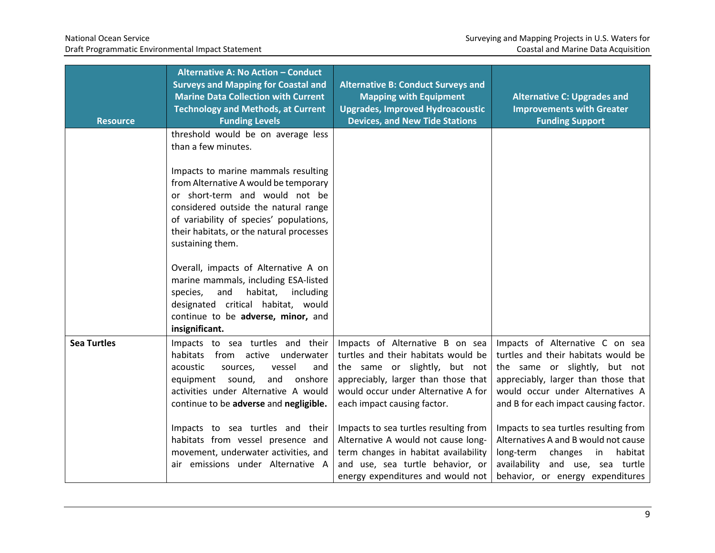| <b>Resource</b>    | <b>Alternative A: No Action - Conduct</b><br><b>Surveys and Mapping for Coastal and</b><br><b>Marine Data Collection with Current</b><br><b>Technology and Methods, at Current</b><br><b>Funding Levels</b>                                                       | <b>Alternative B: Conduct Surveys and</b><br><b>Mapping with Equipment</b><br><b>Upgrades, Improved Hydroacoustic</b><br><b>Devices, and New Tide Stations</b>                                                       | <b>Alternative C: Upgrades and</b><br><b>Improvements with Greater</b><br><b>Funding Support</b>                                                                                                                            |
|--------------------|-------------------------------------------------------------------------------------------------------------------------------------------------------------------------------------------------------------------------------------------------------------------|----------------------------------------------------------------------------------------------------------------------------------------------------------------------------------------------------------------------|-----------------------------------------------------------------------------------------------------------------------------------------------------------------------------------------------------------------------------|
|                    | threshold would be on average less<br>than a few minutes.                                                                                                                                                                                                         |                                                                                                                                                                                                                      |                                                                                                                                                                                                                             |
|                    | Impacts to marine mammals resulting<br>from Alternative A would be temporary<br>or short-term and would not be<br>considered outside the natural range<br>of variability of species' populations,<br>their habitats, or the natural processes<br>sustaining them. |                                                                                                                                                                                                                      |                                                                                                                                                                                                                             |
|                    | Overall, impacts of Alternative A on<br>marine mammals, including ESA-listed<br>habitat,<br>species,<br>and<br>including<br>designated critical habitat, would<br>continue to be adverse, minor, and<br>insignificant.                                            |                                                                                                                                                                                                                      |                                                                                                                                                                                                                             |
| <b>Sea Turtles</b> | Impacts to sea turtles and their<br>habitats from active underwater<br>acoustic<br>vessel<br>sources,<br>and<br>equipment sound,<br>and<br>onshore<br>activities under Alternative A would<br>continue to be adverse and negligible.                              | Impacts of Alternative B on sea<br>turtles and their habitats would be<br>the same or slightly, but not<br>appreciably, larger than those that<br>would occur under Alternative A for<br>each impact causing factor. | Impacts of Alternative C on sea<br>turtles and their habitats would be<br>the same or slightly, but not<br>appreciably, larger than those that<br>would occur under Alternatives A<br>and B for each impact causing factor. |
|                    | Impacts to sea turtles and their<br>habitats from vessel presence and<br>movement, underwater activities, and<br>air emissions under Alternative A                                                                                                                | Impacts to sea turtles resulting from<br>Alternative A would not cause long-<br>term changes in habitat availability<br>and use, sea turtle behavior, or<br>energy expenditures and would not                        | Impacts to sea turtles resulting from<br>Alternatives A and B would not cause<br>long-term<br>changes<br>habitat<br>in<br>availability and use, sea turtle<br>behavior, or energy expenditures                              |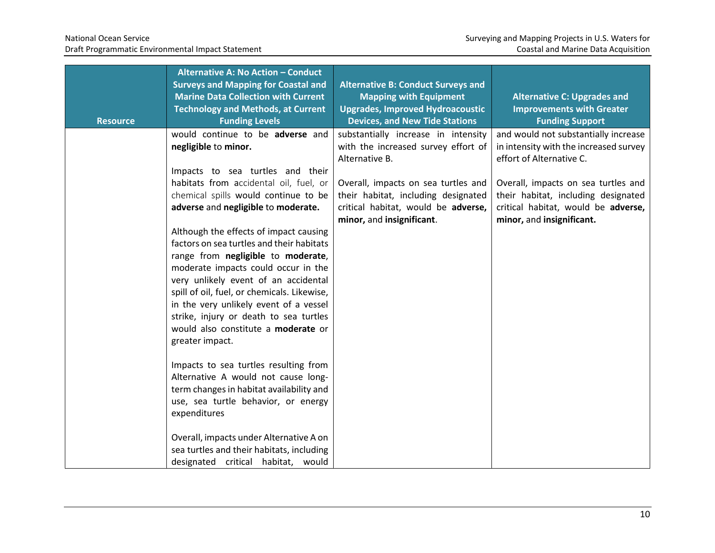| <b>Resource</b> | Alternative A: No Action - Conduct<br><b>Surveys and Mapping for Coastal and</b><br><b>Marine Data Collection with Current</b><br><b>Technology and Methods, at Current</b><br><b>Funding Levels</b>                                                                                                                                                                                                  | <b>Alternative B: Conduct Surveys and</b><br><b>Mapping with Equipment</b><br><b>Upgrades, Improved Hydroacoustic</b><br><b>Devices, and New Tide Stations</b> | <b>Alternative C: Upgrades and</b><br><b>Improvements with Greater</b><br><b>Funding Support</b>                                               |
|-----------------|-------------------------------------------------------------------------------------------------------------------------------------------------------------------------------------------------------------------------------------------------------------------------------------------------------------------------------------------------------------------------------------------------------|----------------------------------------------------------------------------------------------------------------------------------------------------------------|------------------------------------------------------------------------------------------------------------------------------------------------|
|                 | would continue to be adverse and<br>negligible to minor.                                                                                                                                                                                                                                                                                                                                              | substantially increase in intensity<br>with the increased survey effort of<br>Alternative B.                                                                   | and would not substantially increase<br>in intensity with the increased survey<br>effort of Alternative C.                                     |
|                 | Impacts to sea turtles and their<br>habitats from accidental oil, fuel, or<br>chemical spills would continue to be<br>adverse and negligible to moderate.                                                                                                                                                                                                                                             | Overall, impacts on sea turtles and<br>their habitat, including designated<br>critical habitat, would be adverse,<br>minor, and insignificant.                 | Overall, impacts on sea turtles and<br>their habitat, including designated<br>critical habitat, would be adverse,<br>minor, and insignificant. |
|                 | Although the effects of impact causing<br>factors on sea turtles and their habitats<br>range from negligible to moderate,<br>moderate impacts could occur in the<br>very unlikely event of an accidental<br>spill of oil, fuel, or chemicals. Likewise,<br>in the very unlikely event of a vessel<br>strike, injury or death to sea turtles<br>would also constitute a moderate or<br>greater impact. |                                                                                                                                                                |                                                                                                                                                |
|                 | Impacts to sea turtles resulting from<br>Alternative A would not cause long-<br>term changes in habitat availability and<br>use, sea turtle behavior, or energy<br>expenditures                                                                                                                                                                                                                       |                                                                                                                                                                |                                                                                                                                                |
|                 | Overall, impacts under Alternative A on<br>sea turtles and their habitats, including<br>designated critical habitat, would                                                                                                                                                                                                                                                                            |                                                                                                                                                                |                                                                                                                                                |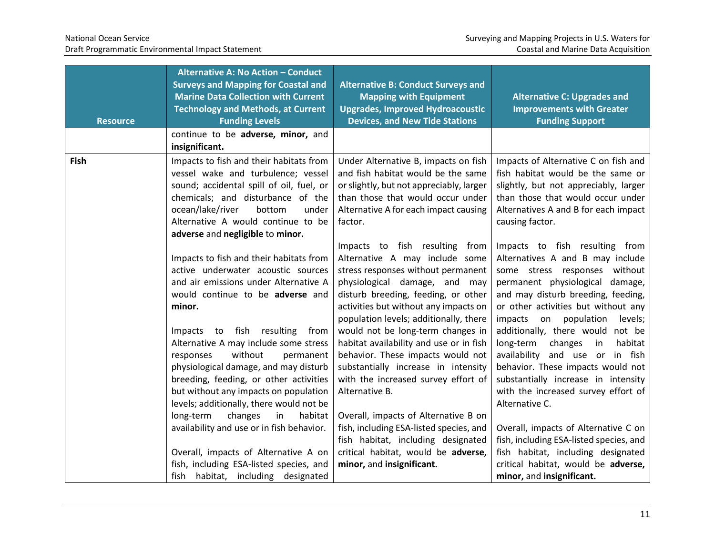| <b>Resource</b> | Alternative A: No Action - Conduct<br><b>Surveys and Mapping for Coastal and</b><br><b>Marine Data Collection with Current</b><br><b>Technology and Methods, at Current</b><br><b>Funding Levels</b>                                                                            | <b>Alternative B: Conduct Surveys and</b><br><b>Mapping with Equipment</b><br><b>Upgrades, Improved Hydroacoustic</b><br><b>Devices, and New Tide Stations</b>                                                                                                                                                                                    | <b>Alternative C: Upgrades and</b><br><b>Improvements with Greater</b><br><b>Funding Support</b>                                                                                                                                                                                                                                     |
|-----------------|---------------------------------------------------------------------------------------------------------------------------------------------------------------------------------------------------------------------------------------------------------------------------------|---------------------------------------------------------------------------------------------------------------------------------------------------------------------------------------------------------------------------------------------------------------------------------------------------------------------------------------------------|--------------------------------------------------------------------------------------------------------------------------------------------------------------------------------------------------------------------------------------------------------------------------------------------------------------------------------------|
|                 | continue to be adverse, minor, and<br>insignificant.                                                                                                                                                                                                                            |                                                                                                                                                                                                                                                                                                                                                   |                                                                                                                                                                                                                                                                                                                                      |
| Fish            | Impacts to fish and their habitats from<br>vessel wake and turbulence; vessel<br>sound; accidental spill of oil, fuel, or<br>chemicals; and disturbance of the<br>ocean/lake/river<br>bottom<br>under<br>Alternative A would continue to be<br>adverse and negligible to minor. | Under Alternative B, impacts on fish<br>and fish habitat would be the same<br>or slightly, but not appreciably, larger<br>than those that would occur under<br>Alternative A for each impact causing<br>factor.                                                                                                                                   | Impacts of Alternative C on fish and<br>fish habitat would be the same or<br>slightly, but not appreciably, larger<br>than those that would occur under<br>Alternatives A and B for each impact<br>causing factor.                                                                                                                   |
|                 | Impacts to fish and their habitats from<br>active underwater acoustic sources<br>and air emissions under Alternative A<br>would continue to be adverse and<br>minor.<br>fish resulting<br>from<br>Impacts to<br>Alternative A may include some stress                           | Impacts to fish resulting from<br>Alternative A may include some<br>stress responses without permanent<br>physiological damage, and may<br>disturb breeding, feeding, or other<br>activities but without any impacts on<br>population levels; additionally, there<br>would not be long-term changes in<br>habitat availability and use or in fish | Impacts to fish resulting from<br>Alternatives A and B may include<br>some stress responses without<br>permanent physiological damage,<br>and may disturb breeding, feeding,<br>or other activities but without any<br>impacts<br>on population<br>levels;<br>additionally, there would not be<br>long-term<br>changes in<br>habitat |
|                 | without<br>permanent<br>responses<br>physiological damage, and may disturb<br>breeding, feeding, or other activities<br>but without any impacts on population<br>levels; additionally, there would not be                                                                       | behavior. These impacts would not<br>substantially increase in intensity<br>with the increased survey effort of<br>Alternative B.                                                                                                                                                                                                                 | availability and use or in fish<br>behavior. These impacts would not<br>substantially increase in intensity<br>with the increased survey effort of<br>Alternative C.                                                                                                                                                                 |
|                 | long-term<br>changes<br>habitat<br>in<br>availability and use or in fish behavior.<br>Overall, impacts of Alternative A on<br>fish, including ESA-listed species, and<br>habitat, including designated<br>fish                                                                  | Overall, impacts of Alternative B on<br>fish, including ESA-listed species, and<br>fish habitat, including designated<br>critical habitat, would be adverse,<br>minor, and insignificant.                                                                                                                                                         | Overall, impacts of Alternative C on<br>fish, including ESA-listed species, and<br>fish habitat, including designated<br>critical habitat, would be adverse,<br>minor, and insignificant.                                                                                                                                            |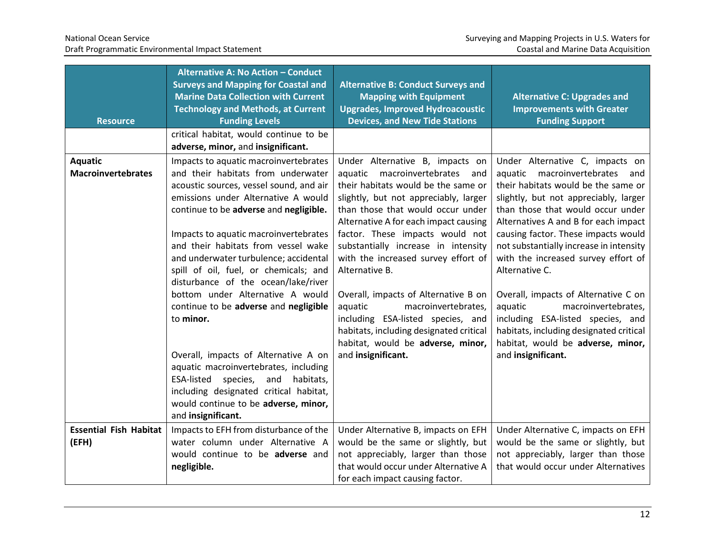| <b>Resource</b>                             | <b>Alternative A: No Action - Conduct</b><br><b>Surveys and Mapping for Coastal and</b><br><b>Marine Data Collection with Current</b><br><b>Technology and Methods, at Current</b><br><b>Funding Levels</b>                                                                                                                                                                                                                                                                                                                                                                                                                                                                                                                                    | <b>Alternative B: Conduct Surveys and</b><br><b>Mapping with Equipment</b><br><b>Upgrades, Improved Hydroacoustic</b><br><b>Devices, and New Tide Stations</b>                                                                                                                                                                                                                                                                                                                                                                                                                          | <b>Alternative C: Upgrades and</b><br><b>Improvements with Greater</b><br><b>Funding Support</b>                                                                                                                                                                                                                                                                                                                                                                                                                                                                                               |
|---------------------------------------------|------------------------------------------------------------------------------------------------------------------------------------------------------------------------------------------------------------------------------------------------------------------------------------------------------------------------------------------------------------------------------------------------------------------------------------------------------------------------------------------------------------------------------------------------------------------------------------------------------------------------------------------------------------------------------------------------------------------------------------------------|-----------------------------------------------------------------------------------------------------------------------------------------------------------------------------------------------------------------------------------------------------------------------------------------------------------------------------------------------------------------------------------------------------------------------------------------------------------------------------------------------------------------------------------------------------------------------------------------|------------------------------------------------------------------------------------------------------------------------------------------------------------------------------------------------------------------------------------------------------------------------------------------------------------------------------------------------------------------------------------------------------------------------------------------------------------------------------------------------------------------------------------------------------------------------------------------------|
|                                             | critical habitat, would continue to be<br>adverse, minor, and insignificant.                                                                                                                                                                                                                                                                                                                                                                                                                                                                                                                                                                                                                                                                   |                                                                                                                                                                                                                                                                                                                                                                                                                                                                                                                                                                                         |                                                                                                                                                                                                                                                                                                                                                                                                                                                                                                                                                                                                |
| <b>Aquatic</b><br><b>Macroinvertebrates</b> | Impacts to aquatic macroinvertebrates<br>and their habitats from underwater<br>acoustic sources, vessel sound, and air<br>emissions under Alternative A would<br>continue to be adverse and negligible.<br>Impacts to aquatic macroinvertebrates<br>and their habitats from vessel wake<br>and underwater turbulence; accidental<br>spill of oil, fuel, or chemicals; and<br>disturbance of the ocean/lake/river<br>bottom under Alternative A would<br>continue to be adverse and negligible<br>to minor.<br>Overall, impacts of Alternative A on<br>aquatic macroinvertebrates, including<br>ESA-listed species,<br>habitats,<br>and<br>including designated critical habitat,<br>would continue to be adverse, minor,<br>and insignificant. | Under Alternative B, impacts on<br>aquatic macroinvertebrates and<br>their habitats would be the same or<br>slightly, but not appreciably, larger<br>than those that would occur under<br>Alternative A for each impact causing<br>factor. These impacts would not<br>substantially increase in intensity<br>with the increased survey effort of<br>Alternative B.<br>Overall, impacts of Alternative B on<br>aquatic<br>macroinvertebrates,<br>including ESA-listed species, and<br>habitats, including designated critical<br>habitat, would be adverse, minor,<br>and insignificant. | Under Alternative C, impacts on<br>aquatic macroinvertebrates and<br>their habitats would be the same or<br>slightly, but not appreciably, larger<br>than those that would occur under<br>Alternatives A and B for each impact<br>causing factor. These impacts would<br>not substantially increase in intensity<br>with the increased survey effort of<br>Alternative C.<br>Overall, impacts of Alternative C on<br>aquatic<br>macroinvertebrates,<br>including ESA-listed species, and<br>habitats, including designated critical<br>habitat, would be adverse, minor,<br>and insignificant. |
| <b>Essential Fish Habitat</b><br>(EFH)      | Impacts to EFH from disturbance of the<br>water column under Alternative A<br>would continue to be adverse and<br>negligible.                                                                                                                                                                                                                                                                                                                                                                                                                                                                                                                                                                                                                  | Under Alternative B, impacts on EFH<br>would be the same or slightly, but<br>not appreciably, larger than those<br>that would occur under Alternative A<br>for each impact causing factor.                                                                                                                                                                                                                                                                                                                                                                                              | Under Alternative C, impacts on EFH<br>would be the same or slightly, but<br>not appreciably, larger than those<br>that would occur under Alternatives                                                                                                                                                                                                                                                                                                                                                                                                                                         |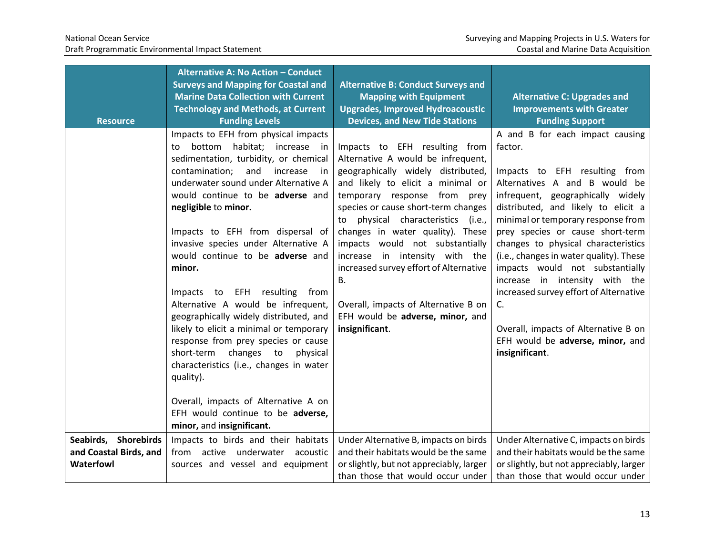| <b>Resource</b>                                             | Alternative A: No Action - Conduct<br><b>Surveys and Mapping for Coastal and</b><br><b>Marine Data Collection with Current</b><br><b>Technology and Methods, at Current</b><br><b>Funding Levels</b>                                                                                                                                                                                                                                                                                                                                                                                                                                                                                                                                                                                                   | <b>Alternative B: Conduct Surveys and</b><br><b>Mapping with Equipment</b><br><b>Upgrades, Improved Hydroacoustic</b><br><b>Devices, and New Tide Stations</b>                                                                                                                                                                                                                                                                                                                                                            | <b>Alternative C: Upgrades and</b><br><b>Improvements with Greater</b><br><b>Funding Support</b>                                                                                                                                                                                                                                                                                                                                                                                                                                                                        |
|-------------------------------------------------------------|--------------------------------------------------------------------------------------------------------------------------------------------------------------------------------------------------------------------------------------------------------------------------------------------------------------------------------------------------------------------------------------------------------------------------------------------------------------------------------------------------------------------------------------------------------------------------------------------------------------------------------------------------------------------------------------------------------------------------------------------------------------------------------------------------------|---------------------------------------------------------------------------------------------------------------------------------------------------------------------------------------------------------------------------------------------------------------------------------------------------------------------------------------------------------------------------------------------------------------------------------------------------------------------------------------------------------------------------|-------------------------------------------------------------------------------------------------------------------------------------------------------------------------------------------------------------------------------------------------------------------------------------------------------------------------------------------------------------------------------------------------------------------------------------------------------------------------------------------------------------------------------------------------------------------------|
|                                                             | Impacts to EFH from physical impacts<br>bottom habitat; increase in<br>to<br>sedimentation, turbidity, or chemical<br>contamination;<br>and<br>increase<br>-in<br>underwater sound under Alternative A<br>would continue to be adverse and<br>negligible to minor.<br>Impacts to EFH from dispersal of<br>invasive species under Alternative A<br>would continue to be adverse and<br>minor.<br>Impacts to EFH resulting from<br>Alternative A would be infrequent,<br>geographically widely distributed, and<br>likely to elicit a minimal or temporary<br>response from prey species or cause<br>short-term changes to<br>physical<br>characteristics (i.e., changes in water<br>quality).<br>Overall, impacts of Alternative A on<br>EFH would continue to be adverse,<br>minor, and insignificant. | Impacts to EFH resulting from<br>Alternative A would be infrequent,<br>geographically widely distributed,<br>and likely to elicit a minimal or<br>temporary response from prey<br>species or cause short-term changes<br>to physical characteristics (i.e.,<br>changes in water quality). These<br>impacts would not substantially<br>increase in intensity with the<br>increased survey effort of Alternative<br><b>B.</b><br>Overall, impacts of Alternative B on<br>EFH would be adverse, minor, and<br>insignificant. | A and B for each impact causing<br>factor.<br>Impacts to EFH resulting from<br>Alternatives A and B would be<br>infrequent, geographically widely<br>distributed, and likely to elicit a<br>minimal or temporary response from<br>prey species or cause short-term<br>changes to physical characteristics<br>(i.e., changes in water quality). These<br>impacts would not substantially<br>increase in intensity with the<br>increased survey effort of Alternative<br>C.<br>Overall, impacts of Alternative B on<br>EFH would be adverse, minor, and<br>insignificant. |
| Seabirds, Shorebirds<br>and Coastal Birds, and<br>Waterfowl | Impacts to birds and their habitats<br>from active underwater<br>acoustic<br>sources and vessel and equipment                                                                                                                                                                                                                                                                                                                                                                                                                                                                                                                                                                                                                                                                                          | Under Alternative B, impacts on birds<br>and their habitats would be the same<br>or slightly, but not appreciably, larger<br>than those that would occur under                                                                                                                                                                                                                                                                                                                                                            | Under Alternative C, impacts on birds<br>and their habitats would be the same<br>or slightly, but not appreciably, larger<br>than those that would occur under                                                                                                                                                                                                                                                                                                                                                                                                          |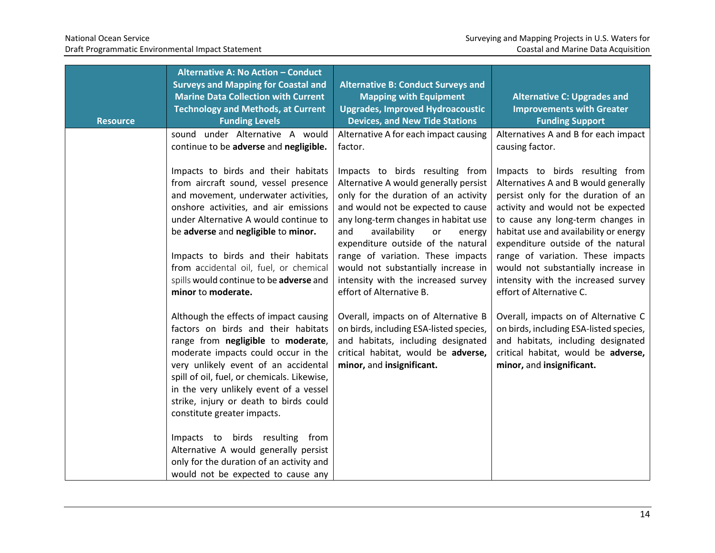| <b>Resource</b> | Alternative A: No Action - Conduct<br><b>Surveys and Mapping for Coastal and</b><br><b>Marine Data Collection with Current</b><br><b>Technology and Methods, at Current</b><br><b>Funding Levels</b>                                                                                                                                                                                                                                                                                                                               | <b>Alternative B: Conduct Surveys and</b><br><b>Mapping with Equipment</b><br><b>Upgrades, Improved Hydroacoustic</b><br><b>Devices, and New Tide Stations</b>                                                                                                                                                                                                                                                             | <b>Alternative C: Upgrades and</b><br><b>Improvements with Greater</b><br><b>Funding Support</b>                                                                                                                                                                                                                                                                                                                         |
|-----------------|------------------------------------------------------------------------------------------------------------------------------------------------------------------------------------------------------------------------------------------------------------------------------------------------------------------------------------------------------------------------------------------------------------------------------------------------------------------------------------------------------------------------------------|----------------------------------------------------------------------------------------------------------------------------------------------------------------------------------------------------------------------------------------------------------------------------------------------------------------------------------------------------------------------------------------------------------------------------|--------------------------------------------------------------------------------------------------------------------------------------------------------------------------------------------------------------------------------------------------------------------------------------------------------------------------------------------------------------------------------------------------------------------------|
|                 | sound under Alternative A would<br>continue to be adverse and negligible.                                                                                                                                                                                                                                                                                                                                                                                                                                                          | Alternative A for each impact causing<br>factor.                                                                                                                                                                                                                                                                                                                                                                           | Alternatives A and B for each impact<br>causing factor.                                                                                                                                                                                                                                                                                                                                                                  |
|                 | Impacts to birds and their habitats<br>from aircraft sound, vessel presence<br>and movement, underwater activities,<br>onshore activities, and air emissions<br>under Alternative A would continue to<br>be adverse and negligible to minor.<br>Impacts to birds and their habitats<br>from accidental oil, fuel, or chemical<br>spills would continue to be adverse and<br>minor to moderate.                                                                                                                                     | Impacts to birds resulting from<br>Alternative A would generally persist<br>only for the duration of an activity<br>and would not be expected to cause<br>any long-term changes in habitat use<br>availability<br>and<br>or<br>energy<br>expenditure outside of the natural<br>range of variation. These impacts<br>would not substantially increase in<br>intensity with the increased survey<br>effort of Alternative B. | Impacts to birds resulting from<br>Alternatives A and B would generally<br>persist only for the duration of an<br>activity and would not be expected<br>to cause any long-term changes in<br>habitat use and availability or energy<br>expenditure outside of the natural<br>range of variation. These impacts<br>would not substantially increase in<br>intensity with the increased survey<br>effort of Alternative C. |
|                 | Although the effects of impact causing<br>factors on birds and their habitats<br>range from negligible to moderate,<br>moderate impacts could occur in the<br>very unlikely event of an accidental<br>spill of oil, fuel, or chemicals. Likewise,<br>in the very unlikely event of a vessel<br>strike, injury or death to birds could<br>constitute greater impacts.<br>Impacts to birds resulting from<br>Alternative A would generally persist<br>only for the duration of an activity and<br>would not be expected to cause any | Overall, impacts on of Alternative B<br>on birds, including ESA-listed species,<br>and habitats, including designated<br>critical habitat, would be adverse,<br>minor, and insignificant.                                                                                                                                                                                                                                  | Overall, impacts on of Alternative C<br>on birds, including ESA-listed species,<br>and habitats, including designated<br>critical habitat, would be adverse,<br>minor, and insignificant.                                                                                                                                                                                                                                |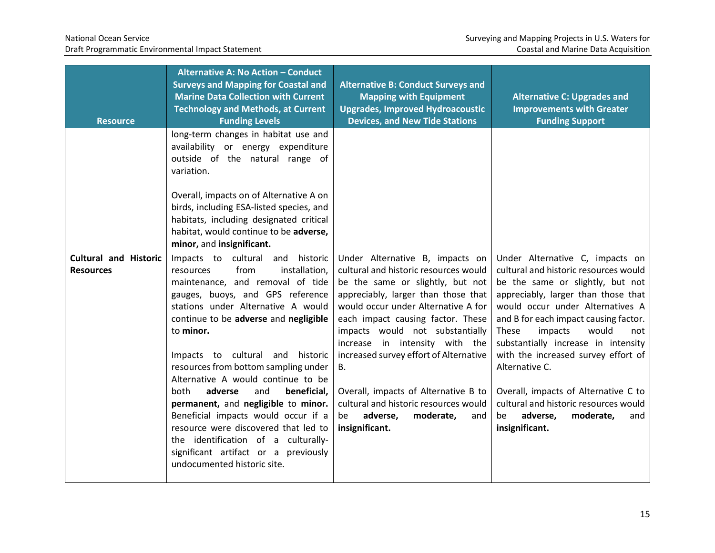| <b>Resource</b>                                  | <b>Alternative A: No Action - Conduct</b><br><b>Surveys and Mapping for Coastal and</b><br><b>Marine Data Collection with Current</b><br><b>Technology and Methods, at Current</b><br><b>Funding Levels</b>                                                                                                                                                                                                                                                                                                                                                                                                                                  | <b>Alternative B: Conduct Surveys and</b><br><b>Mapping with Equipment</b><br><b>Upgrades, Improved Hydroacoustic</b><br><b>Devices, and New Tide Stations</b>                                                                                                                                                                                                                                                                                                                                       | <b>Alternative C: Upgrades and</b><br><b>Improvements with Greater</b><br><b>Funding Support</b>                                                                                                                                                                                                                                                                                                                                                                                                              |
|--------------------------------------------------|----------------------------------------------------------------------------------------------------------------------------------------------------------------------------------------------------------------------------------------------------------------------------------------------------------------------------------------------------------------------------------------------------------------------------------------------------------------------------------------------------------------------------------------------------------------------------------------------------------------------------------------------|------------------------------------------------------------------------------------------------------------------------------------------------------------------------------------------------------------------------------------------------------------------------------------------------------------------------------------------------------------------------------------------------------------------------------------------------------------------------------------------------------|---------------------------------------------------------------------------------------------------------------------------------------------------------------------------------------------------------------------------------------------------------------------------------------------------------------------------------------------------------------------------------------------------------------------------------------------------------------------------------------------------------------|
|                                                  | long-term changes in habitat use and<br>availability or energy expenditure<br>outside of the natural range of<br>variation.                                                                                                                                                                                                                                                                                                                                                                                                                                                                                                                  |                                                                                                                                                                                                                                                                                                                                                                                                                                                                                                      |                                                                                                                                                                                                                                                                                                                                                                                                                                                                                                               |
|                                                  | Overall, impacts on of Alternative A on<br>birds, including ESA-listed species, and<br>habitats, including designated critical<br>habitat, would continue to be adverse,<br>minor, and insignificant.                                                                                                                                                                                                                                                                                                                                                                                                                                        |                                                                                                                                                                                                                                                                                                                                                                                                                                                                                                      |                                                                                                                                                                                                                                                                                                                                                                                                                                                                                                               |
| <b>Cultural and Historic</b><br><b>Resources</b> | Impacts to cultural and<br>historic<br>from<br>installation,<br>resources<br>maintenance, and removal of tide<br>gauges, buoys, and GPS reference<br>stations under Alternative A would<br>continue to be adverse and negligible<br>to minor.<br>Impacts to cultural and historic<br>resources from bottom sampling under<br>Alternative A would continue to be<br>adverse<br>and<br>beneficial,<br>both<br>permanent, and negligible to minor.<br>Beneficial impacts would occur if a<br>resource were discovered that led to<br>the identification of a culturally-<br>significant artifact or a previously<br>undocumented historic site. | Under Alternative B, impacts on<br>cultural and historic resources would<br>be the same or slightly, but not<br>appreciably, larger than those that<br>would occur under Alternative A for<br>each impact causing factor. These<br>impacts would not substantially<br>increase in intensity with the<br>increased survey effort of Alternative<br><b>B.</b><br>Overall, impacts of Alternative B to<br>cultural and historic resources would<br>adverse,<br>moderate,<br>be<br>and<br>insignificant. | Under Alternative C, impacts on<br>cultural and historic resources would<br>be the same or slightly, but not<br>appreciably, larger than those that<br>would occur under Alternatives A<br>and B for each impact causing factor.<br>would<br>These<br>impacts<br>not<br>substantially increase in intensity<br>with the increased survey effort of<br>Alternative C.<br>Overall, impacts of Alternative C to<br>cultural and historic resources would<br>adverse,<br>moderate,<br>be<br>and<br>insignificant. |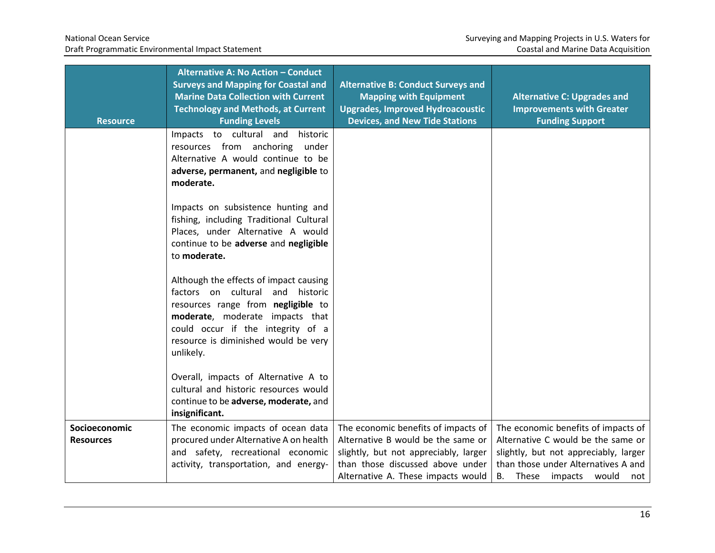| <b>Resource</b>                   | <b>Alternative A: No Action - Conduct</b><br><b>Surveys and Mapping for Coastal and</b><br><b>Marine Data Collection with Current</b><br><b>Technology and Methods, at Current</b><br><b>Funding Levels</b>                                   | <b>Alternative B: Conduct Surveys and</b><br><b>Mapping with Equipment</b><br><b>Upgrades, Improved Hydroacoustic</b><br><b>Devices, and New Tide Stations</b>                               | <b>Alternative C: Upgrades and</b><br><b>Improvements with Greater</b><br><b>Funding Support</b>                                                                                                     |
|-----------------------------------|-----------------------------------------------------------------------------------------------------------------------------------------------------------------------------------------------------------------------------------------------|----------------------------------------------------------------------------------------------------------------------------------------------------------------------------------------------|------------------------------------------------------------------------------------------------------------------------------------------------------------------------------------------------------|
|                                   | Impacts to cultural and<br>historic<br>resources from anchoring<br>under<br>Alternative A would continue to be<br>adverse, permanent, and negligible to<br>moderate.                                                                          |                                                                                                                                                                                              |                                                                                                                                                                                                      |
|                                   | Impacts on subsistence hunting and<br>fishing, including Traditional Cultural<br>Places, under Alternative A would<br>continue to be adverse and negligible<br>to moderate.                                                                   |                                                                                                                                                                                              |                                                                                                                                                                                                      |
|                                   | Although the effects of impact causing<br>factors on cultural and historic<br>resources range from negligible to<br>moderate, moderate impacts that<br>could occur if the integrity of a<br>resource is diminished would be very<br>unlikely. |                                                                                                                                                                                              |                                                                                                                                                                                                      |
|                                   | Overall, impacts of Alternative A to<br>cultural and historic resources would<br>continue to be adverse, moderate, and<br>insignificant.                                                                                                      |                                                                                                                                                                                              |                                                                                                                                                                                                      |
| Socioeconomic<br><b>Resources</b> | The economic impacts of ocean data<br>procured under Alternative A on health<br>and safety, recreational economic<br>activity, transportation, and energy-                                                                                    | The economic benefits of impacts of<br>Alternative B would be the same or<br>slightly, but not appreciably, larger<br>than those discussed above under<br>Alternative A. These impacts would | The economic benefits of impacts of<br>Alternative C would be the same or<br>slightly, but not appreciably, larger<br>than those under Alternatives A and<br><b>B.</b><br>These impacts would<br>not |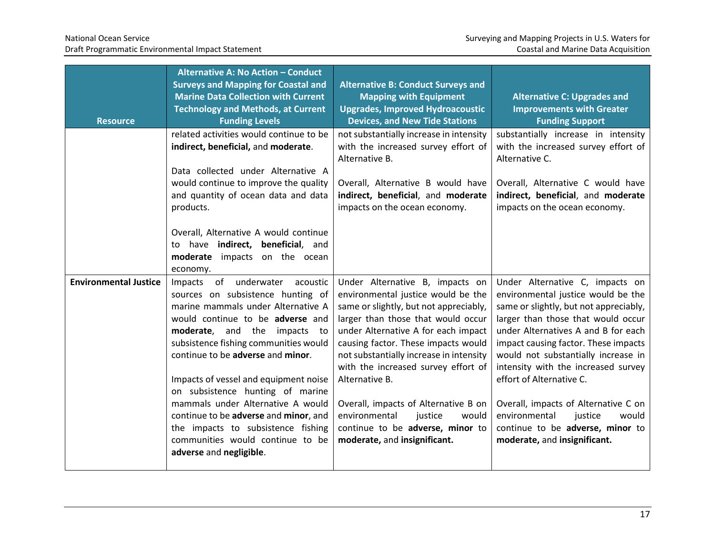| <b>Resource</b>              | Alternative A: No Action - Conduct<br><b>Surveys and Mapping for Coastal and</b><br><b>Marine Data Collection with Current</b><br><b>Technology and Methods, at Current</b><br><b>Funding Levels</b>                                                                                                                                                                                                                                                                                                                        | <b>Alternative B: Conduct Surveys and</b><br><b>Mapping with Equipment</b><br><b>Upgrades, Improved Hydroacoustic</b><br><b>Devices, and New Tide Stations</b>                                                                                                                                                                                                                                                                                                                           | <b>Alternative C: Upgrades and</b><br><b>Improvements with Greater</b><br><b>Funding Support</b>                                                                                                                                                                                                                                                                                                                                                                                                |
|------------------------------|-----------------------------------------------------------------------------------------------------------------------------------------------------------------------------------------------------------------------------------------------------------------------------------------------------------------------------------------------------------------------------------------------------------------------------------------------------------------------------------------------------------------------------|------------------------------------------------------------------------------------------------------------------------------------------------------------------------------------------------------------------------------------------------------------------------------------------------------------------------------------------------------------------------------------------------------------------------------------------------------------------------------------------|-------------------------------------------------------------------------------------------------------------------------------------------------------------------------------------------------------------------------------------------------------------------------------------------------------------------------------------------------------------------------------------------------------------------------------------------------------------------------------------------------|
|                              | related activities would continue to be<br>indirect, beneficial, and moderate.<br>Data collected under Alternative A<br>would continue to improve the quality<br>and quantity of ocean data and data<br>products.                                                                                                                                                                                                                                                                                                           | not substantially increase in intensity<br>with the increased survey effort of<br>Alternative B.<br>Overall, Alternative B would have<br>indirect, beneficial, and moderate<br>impacts on the ocean economy.                                                                                                                                                                                                                                                                             | substantially increase in intensity<br>with the increased survey effort of<br>Alternative C.<br>Overall, Alternative C would have<br>indirect, beneficial, and moderate<br>impacts on the ocean economy.                                                                                                                                                                                                                                                                                        |
|                              | Overall, Alternative A would continue<br>to have indirect, beneficial, and<br>moderate impacts on the ocean<br>economy.                                                                                                                                                                                                                                                                                                                                                                                                     |                                                                                                                                                                                                                                                                                                                                                                                                                                                                                          |                                                                                                                                                                                                                                                                                                                                                                                                                                                                                                 |
| <b>Environmental Justice</b> | Impacts of underwater acoustic<br>sources on subsistence hunting of<br>marine mammals under Alternative A<br>would continue to be adverse and<br>moderate, and the impacts to<br>subsistence fishing communities would<br>continue to be adverse and minor.<br>Impacts of vessel and equipment noise<br>on subsistence hunting of marine<br>mammals under Alternative A would<br>continue to be adverse and minor, and<br>the impacts to subsistence fishing<br>communities would continue to be<br>adverse and negligible. | Under Alternative B, impacts on<br>environmental justice would be the<br>same or slightly, but not appreciably,<br>larger than those that would occur<br>under Alternative A for each impact<br>causing factor. These impacts would<br>not substantially increase in intensity<br>with the increased survey effort of<br>Alternative B.<br>Overall, impacts of Alternative B on<br>environmental<br>justice<br>would<br>continue to be adverse, minor to<br>moderate, and insignificant. | Under Alternative C, impacts on<br>environmental justice would be the<br>same or slightly, but not appreciably,<br>larger than those that would occur<br>under Alternatives A and B for each<br>impact causing factor. These impacts<br>would not substantially increase in<br>intensity with the increased survey<br>effort of Alternative C.<br>Overall, impacts of Alternative C on<br>environmental<br>justice<br>would<br>continue to be adverse, minor to<br>moderate, and insignificant. |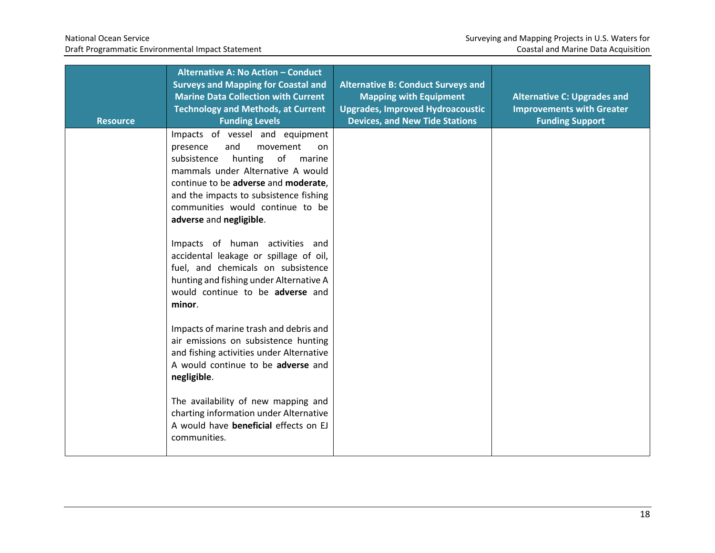| <b>Resource</b> | Alternative A: No Action - Conduct<br><b>Surveys and Mapping for Coastal and</b><br><b>Marine Data Collection with Current</b><br><b>Technology and Methods, at Current</b><br><b>Funding Levels</b>                                                                                                  | <b>Alternative B: Conduct Surveys and</b><br><b>Mapping with Equipment</b><br><b>Upgrades, Improved Hydroacoustic</b><br><b>Devices, and New Tide Stations</b> | <b>Alternative C: Upgrades and</b><br><b>Improvements with Greater</b><br><b>Funding Support</b> |
|-----------------|-------------------------------------------------------------------------------------------------------------------------------------------------------------------------------------------------------------------------------------------------------------------------------------------------------|----------------------------------------------------------------------------------------------------------------------------------------------------------------|--------------------------------------------------------------------------------------------------|
|                 | Impacts of vessel and equipment<br>and<br>movement<br>presence<br>on.<br>of<br>subsistence<br>hunting<br>marine<br>mammals under Alternative A would<br>continue to be adverse and moderate,<br>and the impacts to subsistence fishing<br>communities would continue to be<br>adverse and negligible. |                                                                                                                                                                |                                                                                                  |
|                 | Impacts of human activities and<br>accidental leakage or spillage of oil,<br>fuel, and chemicals on subsistence<br>hunting and fishing under Alternative A<br>would continue to be adverse and<br>minor.                                                                                              |                                                                                                                                                                |                                                                                                  |
|                 | Impacts of marine trash and debris and<br>air emissions on subsistence hunting<br>and fishing activities under Alternative<br>A would continue to be adverse and<br>negligible.                                                                                                                       |                                                                                                                                                                |                                                                                                  |
|                 | The availability of new mapping and<br>charting information under Alternative<br>A would have beneficial effects on EJ<br>communities.                                                                                                                                                                |                                                                                                                                                                |                                                                                                  |